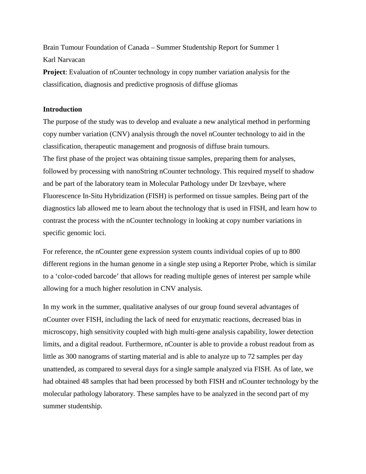Brain Tumour Foundation of Canada – Summer Studentship Report for Summer 1 Karl Narvacan

**Project**: Evaluation of nCounter technology in copy number variation analysis for the classification, diagnosis and predictive prognosis of diffuse gliomas

## **Introduction**

The purpose of the study was to develop and evaluate a new analytical method in performing copy number variation (CNV) analysis through the novel nCounter technology to aid in the classification, therapeutic management and prognosis of diffuse brain tumours. The first phase of the project was obtaining tissue samples, preparing them for analyses, followed by processing with nanoString nCounter technology. This required myself to shadow and be part of the laboratory team in Molecular Pathology under Dr Izevbaye, where Fluorescence In-Situ Hybridization (FISH) is performed on tissue samples. Being part of the diagnostics lab allowed me to learn about the technology that is used in FISH, and learn how to contrast the process with the nCounter technology in looking at copy number variations in specific genomic loci.

For reference, the nCounter gene expression system counts individual copies of up to 800 different regions in the human genome in a single step using a Reporter Probe, which is similar to a 'color-coded barcode' that allows for reading multiple genes of interest per sample while allowing for a much higher resolution in CNV analysis.

In my work in the summer, qualitative analyses of our group found several advantages of nCounter over FISH, including the lack of need for enzymatic reactions, decreased bias in microscopy, high sensitivity coupled with high multi-gene analysis capability, lower detection limits, and a digital readout. Furthermore, nCounter is able to provide a robust readout from as little as 300 nanograms of starting material and is able to analyze up to 72 samples per day unattended, as compared to several days for a single sample analyzed via FISH. As of late, we had obtained 48 samples that had been processed by both FISH and nCounter technology by the molecular pathology laboratory. These samples have to be analyzed in the second part of my summer studentship.